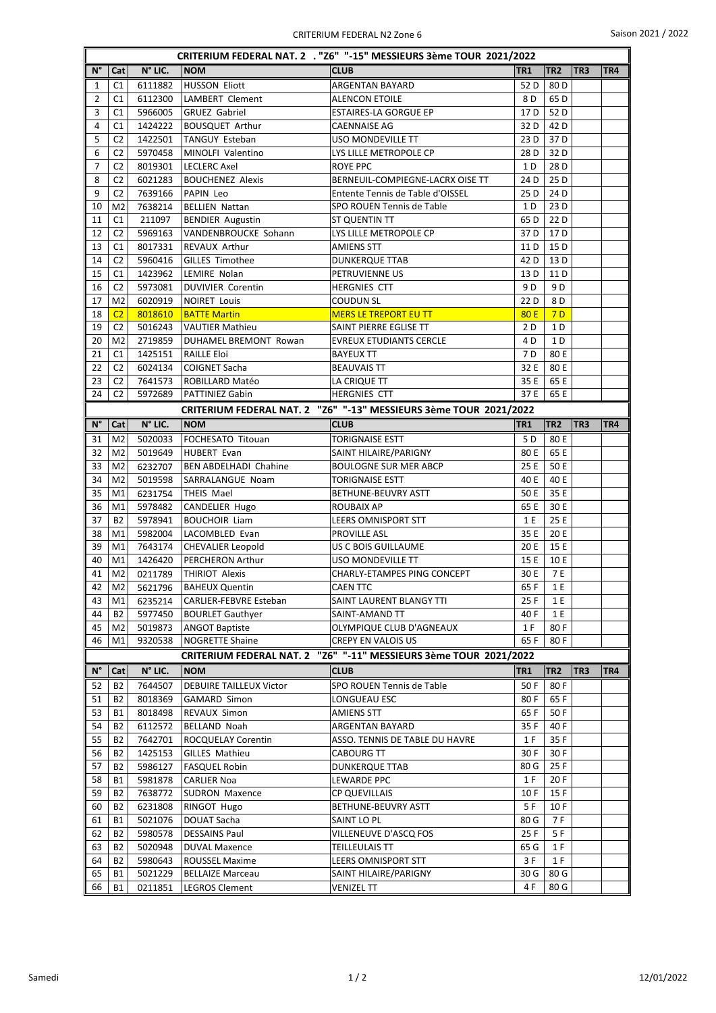| CRITERIUM FEDERAL NAT. 2 . "Z6" "-15" MESSIEURS 3ème TOUR 2021/2022 |                                  |                    |                                            |                                                                   |                 |                 |                 |     |  |  |
|---------------------------------------------------------------------|----------------------------------|--------------------|--------------------------------------------|-------------------------------------------------------------------|-----------------|-----------------|-----------------|-----|--|--|
| $\mathsf{N}^\circ$                                                  | Cat                              | N° LIC.            | <b>NOM</b>                                 | <b>CLUB</b>                                                       | TR <sub>1</sub> | TR <sub>2</sub> | TR <sub>3</sub> | TR4 |  |  |
| 1                                                                   | C <sub>1</sub>                   | 6111882            | HUSSON Eliott                              | ARGENTAN BAYARD                                                   | 52 D            | 80 <sub>D</sub> |                 |     |  |  |
| $\overline{2}$                                                      | C1                               | 6112300            | <b>LAMBERT Clement</b>                     | <b>ALENCON ETOILE</b>                                             | 8 D             | 65 <sub>D</sub> |                 |     |  |  |
| 3                                                                   | C1                               | 5966005            | <b>GRUEZ Gabriel</b>                       | <b>ESTAIRES-LA GORGUE EP</b>                                      | 17 D            | 52D             |                 |     |  |  |
| 4                                                                   | C1                               | 1424222            | <b>BOUSQUET Arthur</b>                     | CAENNAISE AG                                                      | 32 D            | 42 <sub>D</sub> |                 |     |  |  |
| 5                                                                   | C <sub>2</sub>                   | 1422501            | TANGUY Esteban                             | USO MONDEVILLE TT                                                 | 23 D            | 37 D            |                 |     |  |  |
| 6                                                                   | C <sub>2</sub>                   | 5970458            | MINOLFI Valentino                          | LYS LILLE METROPOLE CP                                            | 28 D            | 32D             |                 |     |  |  |
| 7                                                                   | C <sub>2</sub>                   | 8019301            | <b>LECLERC Axel</b>                        | ROYE PPC                                                          | 1 D             | 28 D            |                 |     |  |  |
| 8                                                                   | C <sub>2</sub>                   | 6021283            | <b>BOUCHENEZ Alexis</b>                    | BERNEUIL-COMPIEGNE-LACRX OISE TT                                  | 24 D            | 25 D            |                 |     |  |  |
| 9                                                                   | C <sub>2</sub>                   | 7639166            | PAPIN Leo                                  | Entente Tennis de Table d'OISSEL                                  | 25 D            | 24 D            |                 |     |  |  |
| 10                                                                  | M <sub>2</sub>                   | 7638214            | <b>BELLIEN Nattan</b>                      | SPO ROUEN Tennis de Table                                         | 1 D             | 23 D            |                 |     |  |  |
| 11                                                                  | C1                               | 211097             | <b>BENDIER Augustin</b>                    | ST QUENTIN TT                                                     | 65 D            | 22 D            |                 |     |  |  |
| 12                                                                  | C <sub>2</sub>                   | 5969163            | VANDENBROUCKE Sohann                       | LYS LILLE METROPOLE CP                                            | 37 D            | 17 D            |                 |     |  |  |
| 13                                                                  | C1                               | 8017331            | <b>REVAUX Arthur</b>                       | <b>AMIENS STT</b>                                                 | 11 D            | 15 D            |                 |     |  |  |
| 14                                                                  | C2                               | 5960416            | <b>GILLES Timothee</b>                     | <b>DUNKERQUE TTAB</b>                                             | 42 D            | 13 D            |                 |     |  |  |
| 15                                                                  | C <sub>1</sub>                   | 1423962            | LEMIRE Nolan                               | PETRUVIENNE US                                                    | 13 D            | 11 D            |                 |     |  |  |
| 16                                                                  | C <sub>2</sub>                   | 5973081            | <b>DUVIVIER Corentin</b>                   | <b>HERGNIES CTT</b><br><b>COUDUN SL</b>                           | 9 D             | 9 D             |                 |     |  |  |
| 17                                                                  | M <sub>2</sub>                   | 6020919            | <b>NOIRET Louis</b><br><b>BATTE Martin</b> |                                                                   | 22 D            | 8 D             |                 |     |  |  |
| 18<br>19                                                            | C <sub>2</sub><br>C <sub>2</sub> | 8018610            | <b>VAUTIER Mathieu</b>                     | <b>MERS LE TREPORT EU TT</b>                                      | 80 E<br>2 D     | 7D<br>1 D       |                 |     |  |  |
| 20                                                                  | M <sub>2</sub>                   | 5016243<br>2719859 | DUHAMEL BREMONT Rowan                      | SAINT PIERRE EGLISE TT<br><b>EVREUX ETUDIANTS CERCLE</b>          | 4 D             | 1 D             |                 |     |  |  |
| 21                                                                  | C <sub>1</sub>                   | 1425151            | <b>RAILLE Eloi</b>                         | <b>BAYEUX TT</b>                                                  | 7 D             | 80 E            |                 |     |  |  |
| 22                                                                  | C <sub>2</sub>                   | 6024134            | <b>COIGNET Sacha</b>                       | <b>BEAUVAIS TT</b>                                                | 32 E            | 80 E            |                 |     |  |  |
| 23                                                                  | C <sub>2</sub>                   | 7641573            | ROBILLARD Matéo                            | LA CRIQUE TT                                                      | 35 E            | 65 E            |                 |     |  |  |
| 24                                                                  | C <sub>2</sub>                   | 5972689            | <b>PATTINIEZ Gabin</b>                     | <b>HERGNIES CTT</b>                                               | 37 E            | 65 E            |                 |     |  |  |
|                                                                     |                                  |                    |                                            | CRITERIUM FEDERAL NAT. 2 "Z6" "-13" MESSIEURS 3ème TOUR 2021/2022 |                 |                 |                 |     |  |  |
| N°                                                                  | Cat                              | N° LIC.            | <b>NOM</b>                                 | <b>CLUB</b>                                                       | TR <sub>1</sub> | TR <sub>2</sub> | TR3             | TR4 |  |  |
| 31                                                                  | M <sub>2</sub>                   | 5020033            | FOCHESATO Titouan                          | <b>TORIGNAISE ESTT</b>                                            | 5 D             | 80 E            |                 |     |  |  |
| 32                                                                  | M <sub>2</sub>                   | 5019649            | <b>HUBERT Evan</b>                         | SAINT HILAIRE/PARIGNY                                             | 80 E            | 65 E            |                 |     |  |  |
| 33                                                                  | M <sub>2</sub>                   | 6232707            | <b>BEN ABDELHADI Chahine</b>               | <b>BOULOGNE SUR MER ABCP</b>                                      | 25 E            | 50 E            |                 |     |  |  |
| 34                                                                  | M <sub>2</sub>                   | 5019598            | SARRALANGUE Noam                           | TORIGNAISE ESTT                                                   | 40 E            | 40 E            |                 |     |  |  |
| 35                                                                  | M1                               | 6231754            | <b>THEIS Mael</b>                          | BETHUNE-BEUVRY ASTT                                               | 50 E            | 35 E            |                 |     |  |  |
| 36                                                                  | M1                               | 5978482            | CANDELIER Hugo                             | <b>ROUBAIX AP</b>                                                 | 65 E            | 30 E            |                 |     |  |  |
| 37                                                                  | <b>B2</b>                        | 5978941            | <b>BOUCHOIR Liam</b>                       | LEERS OMNISPORT STT                                               | 1 E             | 25 E            |                 |     |  |  |
| 38                                                                  | M1                               | 5982004            | LACOMBLED Evan                             | PROVILLE ASL                                                      | 35 E            | 20 E            |                 |     |  |  |
| 39                                                                  | M1                               | 7643174            | <b>CHEVALIER Leopold</b>                   | US C BOIS GUILLAUME                                               | 20 E            | 15 E            |                 |     |  |  |
| 40                                                                  | M1                               | 1426420            | <b>PERCHERON Arthur</b>                    | <b>USO MONDEVILLE TT</b>                                          | 15 E            | 10 E            |                 |     |  |  |
| 41                                                                  | M <sub>2</sub>                   | 0211789            | <b>THIRIOT Alexis</b>                      | <b>CHARLY-ETAMPES PING CONCEPT</b>                                | 30 E            | 7 E             |                 |     |  |  |
| 42                                                                  | M2                               | 5621796            | BAHEUX Quentin                             | CAEN TTC                                                          | 65F             | 1E              |                 |     |  |  |
| 43                                                                  | M1                               | 6235214            | <b>CARLIER-FEBVRE Esteban</b>              | SAINT LAURENT BLANGY TTI                                          | 25 F            | 1 E             |                 |     |  |  |
| 44                                                                  | <b>B2</b>                        | 5977450            | <b>BOURLET Gauthyer</b>                    | SAINT-AMAND TT                                                    | 40 F            | 1 E             |                 |     |  |  |
| 45                                                                  | M <sub>2</sub>                   | 5019873            | <b>ANGOT Baptiste</b>                      | OLYMPIQUE CLUB D'AGNEAUX                                          | 1 F             | 80F             |                 |     |  |  |
| 46                                                                  | M1                               | 9320538            | <b>NOGRETTE Shaine</b>                     | <b>CREPY EN VALOIS US</b>                                         | 65F             | 80F             |                 |     |  |  |
|                                                                     |                                  |                    | <b>CRITERIUM FEDERAL NAT. 2</b>            | "Z6" "-11" MESSIEURS 3ème TOUR 2021/2022                          |                 |                 |                 |     |  |  |
| N°                                                                  | Cat                              | N° LIC.            | <b>NOM</b>                                 | <b>CLUB</b>                                                       | TR1             | TR <sub>2</sub> | TR <sub>3</sub> | TR4 |  |  |
| 52                                                                  | <b>B2</b>                        | 7644507            | <b>DEBUIRE TAILLEUX Victor</b>             | SPO ROUEN Tennis de Table                                         | 50 F            | 80 F            |                 |     |  |  |
| 51                                                                  | <b>B2</b>                        | 8018369            | <b>GAMARD Simon</b>                        | LONGUEAU ESC                                                      | 80 F            | 65F             |                 |     |  |  |
| 53<br>54                                                            | B1<br>B2                         | 8018498<br>6112572 | REVAUX Simon<br><b>BELLAND Noah</b>        | <b>AMIENS STT</b><br><b>ARGENTAN BAYARD</b>                       | 65 F<br>35 F    | 50 F<br>40 F    |                 |     |  |  |
| 55                                                                  | B2                               | 7642701            | <b>ROCQUELAY Corentin</b>                  | ASSO. TENNIS DE TABLE DU HAVRE                                    | 1 F             | 35 F            |                 |     |  |  |
| 56                                                                  | <b>B2</b>                        | 1425153            | <b>GILLES Mathieu</b>                      | <b>CABOURG TT</b>                                                 | 30 F            | 30 F            |                 |     |  |  |
| 57                                                                  | <b>B2</b>                        | 5986127            | <b>FASQUEL Robin</b>                       | <b>DUNKERQUE TTAB</b>                                             | 80 G            | 25 F            |                 |     |  |  |
| 58                                                                  | B1                               | 5981878            | <b>CARLIER Noa</b>                         | LEWARDE PPC                                                       | 1 F             | 20 F            |                 |     |  |  |
| 59                                                                  | B2                               | 7638772            | <b>SUDRON Maxence</b>                      | CP QUEVILLAIS                                                     | 10 F            | 15F             |                 |     |  |  |
| 60                                                                  | <b>B2</b>                        | 6231808            | RINGOT Hugo                                | BETHUNE-BEUVRY ASTT                                               | 5 F             | 10F             |                 |     |  |  |
| 61                                                                  | B1                               | 5021076            | <b>DOUAT Sacha</b>                         | SAINT LO PL                                                       | 80 G            | 7 F             |                 |     |  |  |
| 62                                                                  | B2                               | 5980578            | <b>DESSAINS Paul</b>                       | VILLENEUVE D'ASCQ FOS                                             | 25 F            | 5 F             |                 |     |  |  |
| 63                                                                  | B2                               | 5020948            | <b>DUVAL Maxence</b>                       | <b>TEILLEULAIS TT</b>                                             | 65 G            | 1 F             |                 |     |  |  |
| 64                                                                  | <b>B2</b>                        | 5980643            | <b>ROUSSEL Maxime</b>                      | LEERS OMNISPORT STT                                               | 3 F             | 1 F             |                 |     |  |  |
| 65                                                                  | <b>B1</b>                        | 5021229            | <b>BELLAIZE Marceau</b>                    | SAINT HILAIRE/PARIGNY                                             | 30 G            | 80 G            |                 |     |  |  |
| 66                                                                  | <b>B1</b>                        | 0211851            | <b>LEGROS Clement</b>                      | <b>VENIZEL TT</b>                                                 | 4F              | 80 G            |                 |     |  |  |